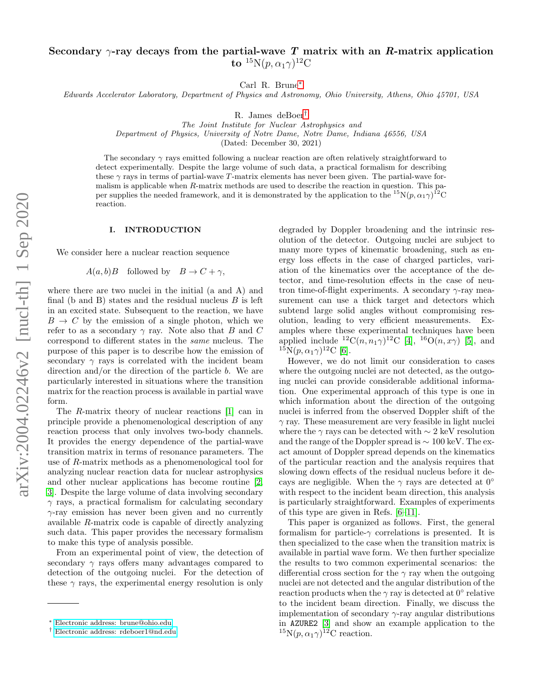# Secondary  $\gamma$ -ray decays from the partial-wave T matrix with an R-matrix application to  $^{15}{\rm N}(p,\alpha_1\gamma)^{12}{\rm C}$

Carl R. Brune[∗](#page-0-0)

Edwards Accelerator Laboratory, Department of Physics and Astronomy, Ohio University, Athens, Ohio 45701, USA

R. James deBoer[†](#page-0-1)

The Joint Institute for Nuclear Astrophysics and Department of Physics, University of Notre Dame, Notre Dame, Indiana 46556, USA

(Dated: December 30, 2021)

The secondary  $\gamma$  rays emitted following a nuclear reaction are often relatively straightforward to detect experimentally. Despite the large volume of such data, a practical formalism for describing these  $\gamma$  rays in terms of partial-wave T-matrix elements has never been given. The partial-wave formalism is applicable when  $R$ -matrix methods are used to describe the reaction in question. This paper supplies the needed framework, and it is demonstrated by the application to the  ${}^{15}N(p, \alpha_1 \gamma)^{12}$ C reaction.

#### I. INTRODUCTION

We consider here a nuclear reaction sequence

 $A(a, b)B$  followed by  $B \to C + \gamma$ ,

where there are two nuclei in the initial (a and A) and final (b and B) states and the residual nucleus  $B$  is left in an excited state. Subsequent to the reaction, we have  $B \to C$  by the emission of a single photon, which we refer to as a secondary  $\gamma$  ray. Note also that B and C correspond to different states in the same nucleus. The purpose of this paper is to describe how the emission of secondary  $\gamma$  rays is correlated with the incident beam direction and/or the direction of the particle b. We are particularly interested in situations where the transition matrix for the reaction process is available in partial wave form.

The R-matrix theory of nuclear reactions [\[1\]](#page-5-0) can in principle provide a phenomenological description of any reaction process that only involves two-body channels. It provides the energy dependence of the partial-wave transition matrix in terms of resonance parameters. The use of R-matrix methods as a phenomenological tool for analyzing nuclear reaction data for nuclear astrophysics and other nuclear applications has become routine [\[2,](#page-5-1) [3\]](#page-5-2). Despite the large volume of data involving secondary  $\gamma$  rays, a practical formalism for calculating secondary  $\gamma$ -ray emission has never been given and no currently available R-matrix code is capable of directly analyzing such data. This paper provides the necessary formalism to make this type of analysis possible.

From an experimental point of view, the detection of secondary  $\gamma$  rays offers many advantages compared to detection of the outgoing nuclei. For the detection of these  $\gamma$  rays, the experimental energy resolution is only

degraded by Doppler broadening and the intrinsic resolution of the detector. Outgoing nuclei are subject to many more types of kinematic broadening, such as energy loss effects in the case of charged particles, variation of the kinematics over the acceptance of the detector, and time-resolution effects in the case of neutron time-of-flight experiments. A secondary  $\gamma$ -ray measurement can use a thick target and detectors which subtend large solid angles without compromising resolution, leading to very efficient measurements. Examples where these experimental techniques have been applied include <sup>12</sup>C(n, n<sub>1</sub> $\gamma$ )<sup>12</sup>C [\[4\]](#page-5-3), <sup>16</sup>O(n, x $\gamma$ ) [\[5\]](#page-5-4), and  ${}^{15}N(p, \alpha_1 \gamma){}^{12}C$  [\[6\]](#page-5-5).

However, we do not limit our consideration to cases where the outgoing nuclei are not detected, as the outgoing nuclei can provide considerable additional information. One experimental approach of this type is one in which information about the direction of the outgoing nuclei is inferred from the observed Doppler shift of the  $\gamma$  ray. These measurement are very feasible in light nuclei where the  $\gamma$  rays can be detected with  $\sim$  2 keV resolution and the range of the Doppler spread is ∼ 100 keV. The exact amount of Doppler spread depends on the kinematics of the particular reaction and the analysis requires that slowing down effects of the residual nucleus before it decays are negligible. When the  $\gamma$  rays are detected at  $0^{\circ}$ with respect to the incident beam direction, this analysis is particularly straightforward. Examples of experiments of this type are given in Refs. [\[6–](#page-5-5)[11\]](#page-5-6).

This paper is organized as follows. First, the general formalism for particle- $\gamma$  correlations is presented. It is then specialized to the case when the transition matrix is available in partial wave form. We then further specialize the results to two common experimental scenarios: the differential cross section for the  $\gamma$  ray when the outgoing nuclei are not detected and the angular distribution of the reaction products when the  $\gamma$  ray is detected at  $0^{\circ}$  relative to the incident beam direction. Finally, we discuss the implementation of secondary  $\gamma$ -ray angular distributions in AZURE2 [\[3\]](#page-5-2) and show an example application to the <sup>15</sup>N( $p, \alpha_1 \gamma$ )<sup>12</sup>C reaction.

<span id="page-0-0"></span><sup>∗</sup> [Electronic address: brune@ohio.edu](mailto:Electronic address: brune@ohio.edu)

<span id="page-0-1"></span><sup>†</sup> [Electronic address: rdeboer1@nd.edu](mailto:Electronic address: rdeboer1@nd.edu)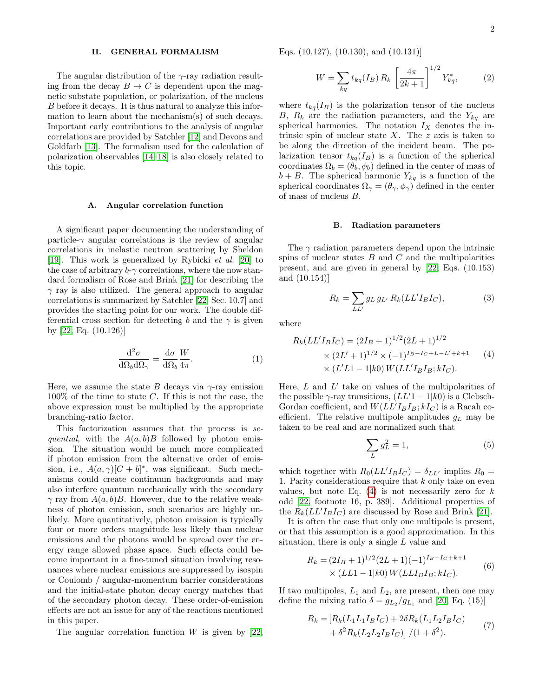#### II. GENERAL FORMALISM

The angular distribution of the  $\gamma$ -ray radiation resulting from the decay  $B \to C$  is dependent upon the magnetic substate population, or polarization, of the nucleus B before it decays. It is thus natural to analyze this information to learn about the mechanism(s) of such decays. Important early contributions to the analysis of angular correlations are provided by Satchler [\[12\]](#page-5-7) and Devons and Goldfarb [\[13\]](#page-5-8). The formalism used for the calculation of polarization observables [\[14](#page-5-9)[–18\]](#page-5-10) is also closely related to this topic.

#### A. Angular correlation function

A significant paper documenting the understanding of particle- $\gamma$  angular correlations is the review of angular correlations in inelastic neutron scattering by Sheldon [\[19\]](#page-6-0). This work is generalized by Rybicki et al. [\[20\]](#page-6-1) to the case of arbitrary  $b-\gamma$  correlations, where the now standard formalism of Rose and Brink [\[21\]](#page-6-2) for describing the  $\gamma$  ray is also utilized. The general approach to angular correlations is summarized by Satchler [\[22,](#page-6-3) Sec. 10.7] and provides the starting point for our work. The double differential cross section for detecting b and the  $\gamma$  is given by [\[22,](#page-6-3) Eq. (10.126)]

<span id="page-1-1"></span>
$$
\frac{\mathrm{d}^2 \sigma}{\mathrm{d}\Omega_b \mathrm{d}\Omega_\gamma} = \frac{\mathrm{d}\sigma}{\mathrm{d}\Omega_b} \frac{W}{4\pi}.\tag{1}
$$

Here, we assume the state B decays via  $\gamma$ -ray emission  $100\%$  of the time to state C. If this is not the case, the above expression must be multiplied by the appropriate branching-ratio factor.

This factorization assumes that the process is sequential, with the  $A(a, b)B$  followed by photon emission. The situation would be much more complicated if photon emission from the alternative order of emission, i.e.,  $A(a, \gamma)[C + b]^*$ , was significant. Such mechanisms could create continuum backgrounds and may also interfere quantum mechanically with the secondary  $\gamma$  ray from  $A(a, b)B$ . However, due to the relative weakness of photon emission, such scenarios are highly unlikely. More quantitatively, photon emission is typically four or more orders magnitude less likely than nuclear emissions and the photons would be spread over the energy range allowed phase space. Such effects could become important in a fine-tuned situation involving resonances where nuclear emissions are suppressed by isospin or Coulomb / angular-momentum barrier considerations and the initial-state photon decay energy matches that of the secondary photon decay. These order-of-emission effects are not an issue for any of the reactions mentioned in this paper.

The angular correlation function  $W$  is given by [\[22,](#page-6-3)

Eqs. (10.127), (10.130), and (10.131)]

$$
W = \sum_{kq} t_{kq}(I_B) R_k \left[ \frac{4\pi}{2k+1} \right]^{1/2} Y_{kq}^*,
$$
 (2)

where  $t_{kq}(I_B)$  is the polarization tensor of the nucleus B,  $R_k$  are the radiation parameters, and the  $Y_{kq}$  are spherical harmonics. The notation  $I_X$  denotes the intrinsic spin of nuclear state  $X$ . The  $z$  axis is taken to be along the direction of the incident beam. The polarization tensor  $t_{kq}(I_B)$  is a function of the spherical coordinates  $\Omega_b = (\theta_b, \phi_b)$  defined in the center of mass of  $b + B$ . The spherical harmonic  $Y_{kq}$  is a function of the spherical coordinates  $\Omega_{\gamma} = (\theta_{\gamma}, \phi_{\gamma})$  defined in the center of mass of nucleus B.

#### B. Radiation parameters

The  $\gamma$  radiation parameters depend upon the intrinsic spins of nuclear states  $B$  and  $C$  and the multipolarities present, and are given in general by [\[22,](#page-6-3) Eqs. (10.153) and (10.154)]

$$
R_k = \sum_{LL'} g_{L} g_{L'} R_k (LL' I_B I_C), \qquad (3)
$$

where

<span id="page-1-0"></span>
$$
R_k(LL'I_BI_C) = (2I_B + 1)^{1/2}(2L + 1)^{1/2}
$$
  
×  $(2L' + 1)^{1/2}$  ×  $(-1)^{I_B - I_C + L - L' + k + 1}$  (4)  
×  $(L'L1 - 1|k0)W(LL'I_BI_B; kI_C)$ .

Here,  $L$  and  $L'$  take on values of the multipolarities of the possible  $\gamma$ -ray transitions,  $(LL'1 - 1|k0)$  is a Clebsch-Gordan coefficient, and  $W(LL'I_B I_B; kI_C)$  is a Racah coefficient. The relative multipole amplitudes  $g_L$  may be taken to be real and are normalized such that

$$
\sum_{L} g_L^2 = 1,\tag{5}
$$

which together with  $R_0(LL'I_B I_C) = \delta_{LL'}$  implies  $R_0 =$ 1. Parity considerations require that  $k$  only take on even values, but note Eq.  $(4)$  is not necessarily zero for k odd [\[22,](#page-6-3) footnote 16, p. 389]. Additional properties of the  $R_k (LL' I_B I_C)$  are discussed by Rose and Brink [\[21\]](#page-6-2).

It is often the case that only one multipole is present, or that this assumption is a good approximation. In this situation, there is only a single  $L$  value and

$$
R_k = (2I_B + 1)^{1/2} (2L + 1)(-1)^{I_B - I_C + k + 1}
$$
  
×  $(LL1 - 1|k0) W(LLI_B I_B; kI_C).$  (6)

If two multipoles,  $L_1$  and  $L_2$ , are present, then one may define the mixing ratio  $\delta = g_{L_2}/g_{L_1}$  and [\[20,](#page-6-1) Eq. (15)]

$$
R_k = [R_k(L_1L_1I_BI_C) + 2\delta R_k(L_1L_2I_BI_C) + \delta^2 R_k(L_2L_2I_BI_C)] / (1 + \delta^2).
$$
 (7)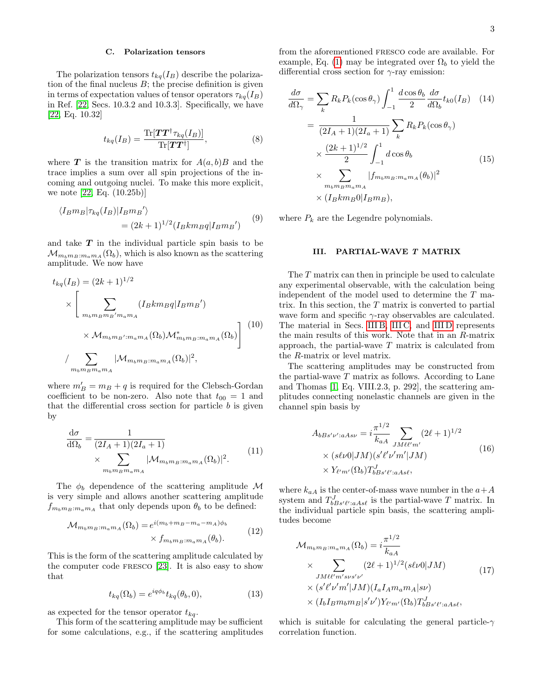### C. Polarization tensors

The polarization tensors  $t_{kq}(I_B)$  describe the polarization of the final nucleus  $B$ ; the precise definition is given in terms of expectation values of tensor operators  $\tau_{ka}(I_B)$ in Ref. [\[22,](#page-6-3) Secs. 10.3.2 and 10.3.3]. Specifically, we have [\[22,](#page-6-3) Eq. 10.32]

$$
t_{kq}(I_B) = \frac{\text{Tr}[\boldsymbol{T}\boldsymbol{T}^\dagger \tau_{kq}(I_B)]}{\text{Tr}[\boldsymbol{T}\boldsymbol{T}^\dagger]},
$$
\n(8)

where **T** is the transition matrix for  $A(a, b)B$  and the trace implies a sum over all spin projections of the incoming and outgoing nuclei. To make this more explicit, we note [\[22,](#page-6-3) Eq. (10.25b)]

$$
\langle I_B m_B | \tau_{kq}(I_B) | I_B m_B' \rangle
$$
  
= 
$$
(2k+1)^{1/2} (I_B k m_B q | I_B m_B')
$$
 (9)

and take  $T$  in the individual particle spin basis to be  $\mathcal{M}_{m_bm_B:m_am_A}(\Omega_b)$ , which is also known as the scattering amplitude. We now have

$$
t_{kq}(I_B) = (2k+1)^{1/2}
$$
  
\n
$$
\times \left[ \sum_{m_b m_B m_B' m_a m_A} (I_B k m_B q | I_B m_B') \times \mathcal{M}_{m_b m_B' : m_a m_A} (\Omega_b) \mathcal{M}_{m_b m_B : m_a m_A}^* (\Omega_b) \right] (10)
$$
  
\n
$$
/ \sum_{m_b m_B m_a m_A} |\mathcal{M}_{m_b m_B : m_a m_A} (\Omega_b)|^2,
$$

where  $m'_B = m_B + q$  is required for the Clebsch-Gordan coefficient to be non-zero. Also note that  $t_{00} = 1$  and that the differential cross section for particle  $b$  is given by

<span id="page-2-0"></span>
$$
\frac{d\sigma}{d\Omega_b} = \frac{1}{(2I_A + 1)(2I_a + 1)} \times \sum_{m_b m_B m_a m_A} |\mathcal{M}_{m_b m_B : m_a m_A}(\Omega_b)|^2.
$$
\n(11)

The  $\phi_b$  dependence of the scattering amplitude M is very simple and allows another scattering amplitude  $f_{m_b m_B : m_a m_A}$  that only depends upon  $\theta_b$  to be defined:

$$
\mathcal{M}_{m_b m_B : m_a m_A}(\Omega_b) = e^{i(m_b + m_B - m_a - m_A)\phi_b}
$$
  
 
$$
\times f_{m_b m_B : m_a m_A}(\theta_b).
$$
 (12)

This is the form of the scattering amplitude calculated by the computer code fresco [\[23\]](#page-6-4). It is also easy to show that

$$
t_{kq}(\Omega_b) = e^{iq\phi_b} t_{kq}(\theta_b, 0), \qquad (13)
$$

as expected for the tensor operator  $t_{kq}$ .

This form of the scattering amplitude may be sufficient for some calculations, e.g., if the scattering amplitudes from the aforementioned fresco code are available. For example, Eq. [\(1\)](#page-1-1) may be integrated over  $\Omega_b$  to yield the differential cross section for  $\gamma$ -ray emission:

$$
\frac{d\sigma}{d\Omega_{\gamma}} = \sum_{k} R_{k} P_{k}(\cos \theta_{\gamma}) \int_{-1}^{1} \frac{d\cos \theta_{b}}{2} \frac{d\sigma}{d\Omega_{b}} t_{k0}(I_{B}) \quad (14)
$$

$$
= \frac{1}{(2I_{A} + 1)(2I_{a} + 1)} \sum_{k} R_{k} P_{k}(\cos \theta_{\gamma})
$$

$$
\times \frac{(2k+1)^{1/2}}{2} \int_{-1}^{1} d\cos \theta_{b}
$$

$$
\times \sum_{m_{b}m_{B}m_{a}m_{A}} |f_{m_{b}m_{B}:m_{a}m_{A}}(\theta_{b})|^{2}
$$

$$
\times (I_{B} k m_{B} 0 | I_{B} m_{B}), \qquad (15)
$$

where  $P_k$  are the Legendre polynomials.

### III. PARTIAL-WAVE T MATRIX

The T matrix can then in principle be used to calculate any experimental observable, with the calculation being independent of the model used to determine the T matrix. In this section, the  $T$  matrix is converted to partial wave form and specific  $\gamma$ -ray observables are calculated. The material in Secs. [III B,](#page-3-0) [III C,](#page-3-1) and [III D](#page-4-0) represents the main results of this work. Note that in an R-matrix approach, the partial-wave  $T$  matrix is calculated from the R-matrix or level matrix.

The scattering amplitudes may be constructed from the partial-wave  $T$  matrix as follows. According to Lane and Thomas [\[1,](#page-5-0) Eq. VIII.2.3, p. 292], the scattering amplitudes connecting nonelastic channels are given in the channel spin basis by

$$
A_{bBs'\nu':aAs\nu} = i\frac{\pi^{1/2}}{k_{aA}} \sum_{JM\ell\ell'm'} (2\ell+1)^{1/2}
$$
  
×  $(s\ell\nu 0|JM)(s'\ell'\nu'm'|JM)$   
×  $Y_{\ell'm'}(\Omega_b)T_{bBs'\ell':aAs\ell}^{J}$ , (16)

where  $k_{aA}$  is the center-of-mass wave number in the  $a+A$ system and  $T_{bBs'\ell':aAs\ell}^J$  is the partial-wave T matrix. In the individual particle spin basis, the scattering amplitudes become

$$
\mathcal{M}_{m_b m_B : m_a m_A}(\Omega_b) = i \frac{\pi^{1/2}}{k_{aA}}
$$
\n
$$
\times \sum_{JM \ell \ell' m' s \nu s' \nu'} (2\ell + 1)^{1/2} (s\ell \nu 0 | JM) \times (s'\ell' \nu' m' | JM) (I_a I_A m_a m_A | s\nu)
$$
\n
$$
\times (I_b I_B m_b m_B | s' \nu') Y_{\ell' m'}(\Omega_b) T_{bBs'\ell';aAs\ell}^{J},
$$
\n(17)

which is suitable for calculating the general particle- $\gamma$ correlation function.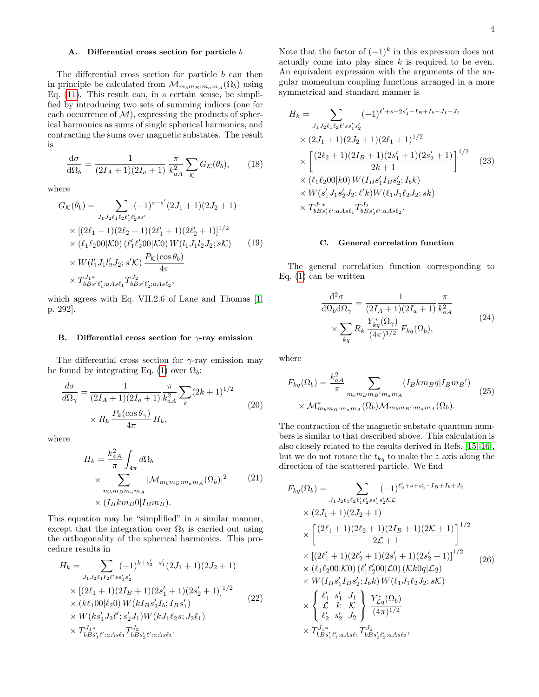# A. Differential cross section for particle  $b$

The differential cross section for particle  $b$  can then in principle be calculated from  $\mathcal{M}_{m_b m_B : m_a m_A}(\Omega_b)$  using Eq. [\(11\)](#page-2-0). This result can, in a certain sense, be simplified by introducing two sets of summing indices (one for each occurrence of  $\mathcal{M}$ ), expressing the products of spherical harmonics as sums of single spherical harmonics, and contracting the sums over magnetic substates. The result is

<span id="page-3-6"></span>
$$
\frac{\mathrm{d}\sigma}{\mathrm{d}\Omega_b} = \frac{1}{(2I_A + 1)(2I_a + 1)} \frac{\pi}{k_{aA}^2} \sum_{\mathcal{K}} G_{\mathcal{K}}(\theta_b),\qquad(18)
$$

where

$$
G_{\mathcal{K}}(\theta_b) = \sum_{J_1 J_2 \ell_1 \ell_2 \ell'_1 \ell'_2 s s'} (-1)^{s-s'} (2J_1 + 1)(2J_2 + 1)
$$
  
 
$$
\times [(2\ell_1 + 1)(2\ell_2 + 1)(2\ell'_1 + 1)(2\ell'_2 + 1)]^{1/2}
$$
  
 
$$
\times (\ell_1 \ell_2 00 | \mathcal{K} 0) (\ell'_1 \ell'_2 00 | \mathcal{K} 0) W(l_1 J_1 l_2 J_2; s\mathcal{K})
$$
  
 
$$
\times W(l'_1 J_1 l'_2 J_2; s'\mathcal{K}) \frac{P_{\mathcal{K}}(\cos \theta_b)}{4\pi}
$$
  
 
$$
\times T_{bBs'\ell'_1: aAs\ell_1}^{J_1} T_{bBs'\ell'_2: aAs\ell_2}^{J_2},
$$
 (19)

which agrees with Eq. VII.2.6 of Lane and Thomas [\[1,](#page-5-0) p. 292].

#### <span id="page-3-0"></span>B. Differential cross section for  $\gamma$ -ray emission

The differential cross section for  $\gamma$ -ray emission may be found by integrating Eq. [\(1\)](#page-1-1) over  $\Omega_b$ :

<span id="page-3-4"></span>
$$
\frac{d\sigma}{d\Omega_{\gamma}} = \frac{1}{(2I_A + 1)(2I_a + 1)} \frac{\pi}{k_{aA}^2} \sum_{k} (2k + 1)^{1/2}
$$
\n
$$
\times R_k \frac{P_k(\cos \theta_{\gamma})}{4\pi} H_k,
$$
\n(20)

where

$$
H_k = \frac{k_{aA}^2}{\pi} \int_{4\pi} d\Omega_b
$$
  
 
$$
\times \sum_{m_b m_B m_a m_A} |\mathcal{M}_{m_b m_B : m_a m_A}(\Omega_b)|^2
$$
 (21)  
 
$$
\times (I_B k m_B 0 | I_B m_B).
$$

This equation may be "simplified" in a similar manner, except that the integration over  $\Omega_b$  is carried out using the orthogonality of the spherical harmonics. This procedure results in

<span id="page-3-5"></span>
$$
H_k = \sum_{J_1 J_2 \ell_1 \ell_2 \ell' s s_1' s_2'} (-1)^{k + s_2' - s_1'} (2J_1 + 1)(2J_2 + 1)
$$
  
 
$$
\times [(2\ell_1 + 1)(2I_B + 1)(2s_1' + 1)(2s_2' + 1)]^{1/2}
$$
  
 
$$
\times (k\ell_1 00 | \ell_2 0) W(kI_B s_2' I_b; I_B s_1')
$$
  
 
$$
\times W(ks_1' J_2 \ell'; s_2' J_1) W(kJ_1 \ell_2 s; J_2 \ell_1)
$$
  
 
$$
\times T_{b B s_1' \ell'; a A s \ell_1}^{J_1} T_{b B s_2' \ell'; a A s \ell_2}^{J_2}.
$$
 (22)

Note that the factor of  $(-1)^k$  in this expression does not actually come into play since  $k$  is required to be even. An equivalent expression with the arguments of the angular momentum coupling functions arranged in a more symmetrical and standard manner is

$$
H_k = \sum_{J_1 J_2 \ell_1 \ell_2 \ell' s s_1' s_2'} (-1)^{\ell' + s - 2s_1' - I_B + I_b - J_1 - J_2}
$$
  
 
$$
\times (2J_1 + 1)(2J_2 + 1)(2\ell_1 + 1)^{1/2}
$$
  
 
$$
\times \left[ \frac{(2\ell_2 + 1)(2I_B + 1)(2s_1' + 1)(2s_2' + 1)}{2k + 1} \right]^{1/2}
$$
  
 
$$
\times (\ell_1 \ell_2 00|k0) W(I_B s_1' I_B s_2'; I_b k)
$$
  
 
$$
\times W(s_1' J_1 s_2' J_2; \ell' k) W(\ell_1 J_1 \ell_2 J_2; sk)
$$
  
 
$$
\times T_{b B s_1' \ell':a A s \ell_1}^{J_1 s} T_{b B s_2' \ell':a A s \ell_2}^{J_2}.
$$
 (23)

#### <span id="page-3-1"></span>C. General correlation function

The general correlation function corresponding to Eq. [\(1\)](#page-1-1) can be written

$$
\frac{\mathrm{d}^2 \sigma}{\mathrm{d}\Omega_b \mathrm{d}\Omega_\gamma} = \frac{1}{(2I_A + 1)(2I_a + 1)} \frac{\pi}{k_{aA}^2}
$$
\n
$$
\times \sum_{kq} R_k \frac{Y_{kq}^*(\Omega_\gamma)}{(4\pi)^{1/2}} F_{kq}(\Omega_b), \tag{24}
$$

<span id="page-3-2"></span>where

$$
F_{kq}(\Omega_b) = \frac{k_{aA}^2}{\pi} \sum_{m_b m_B m_B' m_a m_A} (I_B k m_B q | I_B m_B')
$$
  
 
$$
\times \mathcal{M}_{m_b m_B; m_a m_A}^*(\Omega_b) \mathcal{M}_{m_b m_B'; m_a m_A}(\Omega_b).
$$
 (25)

The contraction of the magnetic substate quantum numbers is similar to that described above. This calculation is also closely related to the results derived in Refs. [\[15,](#page-5-11) [16\]](#page-5-12), but we do not rotate the  $t_{kq}$  to make the z axis along the direction of the scattered particle. We find

<span id="page-3-3"></span>
$$
F_{kq}(\Omega_b) = \sum_{J_1 J_2 \ell_1 \ell_2 \ell'_1 \ell'_2 s s'_1 s'_2 \mathcal{K}\mathcal{L}} (-1)^{\ell'_2 + s + s'_2 - I_B + I_b + J_2}
$$
  
 
$$
\times (2J_1 + 1)(2J_2 + 1)
$$
  
 
$$
\times \left[ \frac{(2\ell_1 + 1)(2\ell_2 + 1)(2I_B + 1)(2\mathcal{K} + 1)}{2\mathcal{L} + 1} \right]^{1/2}
$$
  
 
$$
\times \left[ (2\ell'_1 + 1)(2\ell'_2 + 1)(2s'_1 + 1)(2s'_2 + 1) \right]^{1/2}
$$
  
 
$$
\times (\ell_1 \ell_2 00|\mathcal{K}0) (\ell'_1 \ell'_2 00|\mathcal{L}0) (\mathcal{K}k0q|\mathcal{L}q)
$$
  
 
$$
\times W(I_B s'_1 I_B s'_2; I_b k) W(\ell_1 J_1 \ell_2 J_2; s\mathcal{K})
$$
  
 
$$
\times \left\{ \begin{array}{c} \ell'_1 & s'_1 & J_1 \\ \mathcal{L} & k & \mathcal{K} \\ \ell'_2 & s'_2 & J_2 \end{array} \right\} \frac{Y_{\mathcal{L}q}^*(\Omega_b)}{(4\pi)^{1/2}}
$$
  
 
$$
\times T_{bBs_1'\ell'_1: aAs\ell_1}^{J_2} T_{bBs_2'\ell'_2: aAs\ell_2}^{J_2},
$$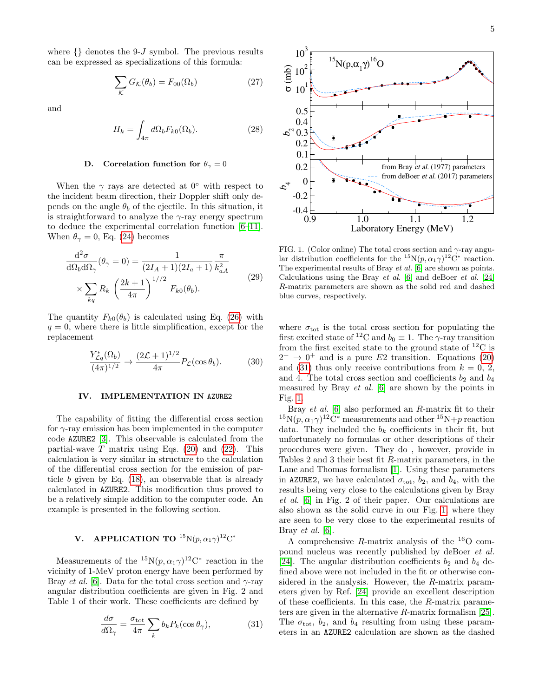where  $\{\}\$  denotes the 9-J symbol. The previous results can be expressed as specializations of this formula:

$$
\sum_{\mathcal{K}} G_{\mathcal{K}}(\theta_b) = F_{00}(\Omega_b) \tag{27}
$$

and

$$
H_k = \int_{4\pi} d\Omega_b F_{k0}(\Omega_b).
$$
 (28)

# <span id="page-4-0"></span>D. Correlation function for  $\theta_{\gamma}=0$

When the  $\gamma$  rays are detected at  $0^{\circ}$  with respect to the incident beam direction, their Doppler shift only depends on the angle  $\theta_b$  of the ejectile. In this situation, it is straightforward to analyze the  $\gamma$ -ray energy spectrum to deduce the experimental correlation function [\[6–](#page-5-5)[11\]](#page-5-6). When  $\theta_{\gamma} = 0$ , Eq. [\(24\)](#page-3-2) becomes

$$
\frac{\mathrm{d}^2 \sigma}{\mathrm{d}\Omega_b \mathrm{d}\Omega_\gamma}(\theta_\gamma = 0) = \frac{1}{(2I_A + 1)(2I_a + 1)} \frac{\pi}{k_{aA}^2}
$$
\n
$$
\times \sum_{kq} R_k \left(\frac{2k+1}{4\pi}\right)^{1/2} F_{k0}(\theta_b).
$$
\n(29)

The quantity  $F_{k0}(\theta_b)$  is calculated using Eq. [\(26\)](#page-3-3) with  $q = 0$ , where there is little simplification, except for the replacement

$$
\frac{Y_{\mathcal{L}q}^*(\Omega_b)}{(4\pi)^{1/2}} \to \frac{(2\mathcal{L}+1)^{1/2}}{4\pi} P_{\mathcal{L}}(\cos\theta_b). \tag{30}
$$

### IV. IMPLEMENTATION IN AZURE2

The capability of fitting the differential cross section for  $\gamma$ -ray emission has been implemented in the computer code AZURE2 [\[3\]](#page-5-2). This observable is calculated from the partial-wave  $T$  matrix using Eqs. [\(20\)](#page-3-4) and [\(22\)](#page-3-5). This calculation is very similar in structure to the calculation of the differential cross section for the emission of particle  $b$  given by Eq.  $(18)$ , an observable that is already calculated in AZURE2. This modification thus proved to be a relatively simple addition to the computer code. An example is presented in the following section.

# **V.** APPLICATION TO  ${}^{15}N(p, \alpha_1 \gamma){}^{12}\text{C}^*$

Measurements of the  ${}^{15}N(p, \alpha_1 \gamma) {}^{12}C^*$  reaction in the vicinity of 1-MeV proton energy have been performed by Bray et al. [\[6\]](#page-5-5). Data for the total cross section and  $\gamma$ -ray angular distribution coefficients are given in Fig. 2 and Table 1 of their work. These coefficients are defined by

<span id="page-4-1"></span>
$$
\frac{d\sigma}{d\Omega_{\gamma}} = \frac{\sigma_{\text{tot}}}{4\pi} \sum_{k} b_k P_k(\cos \theta_{\gamma}),\tag{31}
$$



<span id="page-4-2"></span>FIG. 1. (Color online) The total cross section and  $\gamma$ -ray angular distribution coefficients for the  ${}^{15}N(p, \alpha_1 \gamma)^{12}C^*$  reaction. The experimental results of Bray et al. [\[6\]](#page-5-5) are shown as points. Calculations using the Bray et al. [\[6\]](#page-5-5) and deBoer et al. [\[24\]](#page-6-5) R-matrix parameters are shown as the solid red and dashed blue curves, respectively.

where  $\sigma_{\text{tot}}$  is the total cross section for populating the first excited state of <sup>12</sup>C and  $b_0 \equiv 1$ . The  $\gamma$ -ray transition from the first excited state to the ground state of  $^{12}$ C is  $2^+ \rightarrow 0^+$  and is a pure E2 transition. Equations [\(20\)](#page-3-4) and [\(31\)](#page-4-1) thus only receive contributions from  $k = 0, 2,$ and 4. The total cross section and coefficients  $b_2$  and  $b_4$ measured by Bray et al. [\[6\]](#page-5-5) are shown by the points in Fig. [1.](#page-4-2)

Bray et al. [\[6\]](#page-5-5) also performed an R-matrix fit to their <sup>15</sup>N $(p, \alpha_1 \gamma)^{12}$ C<sup>\*</sup> measurements and other <sup>15</sup>N+p reaction data. They included the  $b_k$  coefficients in their fit, but unfortunately no formulas or other descriptions of their procedures were given. They do , however, provide in Tables 2 and 3 their best fit R-matrix parameters, in the Lane and Thomas formalism [\[1\]](#page-5-0). Using these parameters in AZURE2, we have calculated  $\sigma_{\text{tot}}$ ,  $b_2$ , and  $b_4$ , with the results being very close to the calculations given by Bray et al. [\[6\]](#page-5-5) in Fig. 2 of their paper. Our calculations are also shown as the solid curve in our Fig. [1,](#page-4-2) where they are seen to be very close to the experimental results of Bray et al. [\[6\]](#page-5-5).

A comprehensive R-matrix analysis of the  $^{16}$ O compound nucleus was recently published by deBoer et al. [\[24\]](#page-6-5). The angular distribution coefficients  $b_2$  and  $b_4$  defined above were not included in the fit or otherwise considered in the analysis. However, the R-matrix parameters given by Ref. [\[24\]](#page-6-5) provide an excellent description of these coefficients. In this case, the R-matrix parameters are given in the alternative R-matrix formalism [\[25\]](#page-6-6). The  $\sigma_{\text{tot}}$ ,  $b_2$ , and  $b_4$  resulting from using these parameters in an AZURE2 calculation are shown as the dashed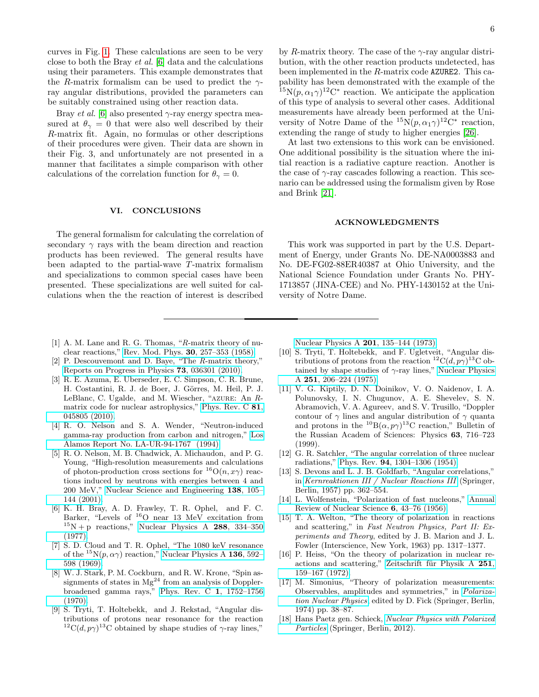curves in Fig. [1.](#page-4-2) These calculations are seen to be very close to both the Bray et al. [\[6\]](#page-5-5) data and the calculations using their parameters. This example demonstrates that the R-matrix formalism can be used to predict the  $\gamma$ ray angular distributions, provided the parameters can be suitably constrained using other reaction data.

Bray *et al.* [\[6\]](#page-5-5) also presented  $\gamma$ -ray energy spectra measured at  $\theta_{\gamma} = 0$  that were also well described by their R-matrix fit. Again, no formulas or other descriptions of their procedures were given. Their data are shown in their Fig. 3, and unfortunately are not presented in a manner that facilitates a simple comparison with other calculations of the correlation function for  $\theta_{\gamma} = 0$ .

#### VI. CONCLUSIONS

The general formalism for calculating the correlation of secondary  $\gamma$  rays with the beam direction and reaction products has been reviewed. The general results have been adapted to the partial-wave T-matrix formalism and specializations to common special cases have been presented. These specializations are well suited for calculations when the the reaction of interest is described

by R-matrix theory. The case of the  $\gamma$ -ray angular distribution, with the other reaction products undetected, has been implemented in the R-matrix code AZURE2. This capability has been demonstrated with the example of the <sup>15</sup>N( $p, \alpha_1 \gamma$ )<sup>12</sup>C<sup>\*</sup> reaction. We anticipate the application of this type of analysis to several other cases. Additional measurements have already been performed at the University of Notre Dame of the  ${}^{15}N(p, \alpha_1 \gamma){}^{12}C^*$  reaction, extending the range of study to higher energies [\[26\]](#page-6-7).

At last two extensions to this work can be envisioned. One additional possibility is the situation where the initial reaction is a radiative capture reaction. Another is the case of  $\gamma$ -ray cascades following a reaction. This scenario can be addressed using the formalism given by Rose and Brink [\[21\]](#page-6-2).

#### ACKNOWLEDGMENTS

This work was supported in part by the U.S. Department of Energy, under Grants No. DE-NA0003883 and No. DE-FG02-88ER40387 at Ohio University, and the National Science Foundation under Grants No. PHY-1713857 (JINA-CEE) and No. PHY-1430152 at the University of Notre Dame.

- <span id="page-5-0"></span>[1] A. M. Lane and R. G. Thomas, "R-matrix theory of nuclear reactions," [Rev. Mod. Phys.](http://dx.doi.org/ 10.1103/RevModPhys.30.257) 30, 257–353 (1958).
- <span id="page-5-1"></span>[2] P. Descouvemont and D. Baye, "The R-matrix theory," [Reports on Progress in Physics](http://dx.doi.org/10.1088/0034-4885/73/3/036301) 73, 036301 (2010).
- <span id="page-5-2"></span>[3] R. E. Azuma, E. Uberseder, E. C. Simpson, C. R. Brune, H. Costantini, R. J. de Boer, J. Görres, M. Heil, P. J. LeBlanc, C. Ugalde, and M. Wiescher, "azure: An Rmatrix code for nuclear astrophysics," [Phys. Rev. C](http://dx.doi.org/10.1103/PhysRevC.81.045805) 81, [045805 \(2010\).](http://dx.doi.org/10.1103/PhysRevC.81.045805)
- <span id="page-5-3"></span>[4] R. O. Nelson and S. A. Wender, "Neutron-induced gamma-ray production from carbon and nitrogen," [Los](http://inis.iaea.org/search/search.aspx?orig_q=RN:25065290) [Alamos Report No. LA-UR-94-1767 \(1994\).](http://inis.iaea.org/search/search.aspx?orig_q=RN:25065290)
- <span id="page-5-4"></span>[5] R. O. Nelson, M. B. Chadwick, A. Michaudon, and P. G. Young, "High-resolution measurements and calculations of photon-production cross sections for  ${}^{16}O(n, x\gamma)$  reactions induced by neutrons with energies between 4 and 200 MeV," [Nuclear Science and Engineering](http://dx.doi.org/10.13182/NSE01-A2205) 138, 105– [144 \(2001\).](http://dx.doi.org/10.13182/NSE01-A2205)
- <span id="page-5-5"></span>[6] K. H. Bray, A. D. Frawley, T. R. Ophel, and F. C. Barker, "Levels of  ${}^{16}O$  near 13 MeV excitation from  $15N + p$  reactions," [Nuclear Physics A](http://dx.doi.org/10.1016/0375-9474(77)90139-7) 288, 334-350 [\(1977\).](http://dx.doi.org/10.1016/0375-9474(77)90139-7)
- [7] S. D. Cloud and T. R. Ophel, "The 1080 keV resonance of the <sup>15</sup>N(p,  $\alpha\gamma$ ) reaction," [Nuclear Physics A](http://dx.doi.org/10.1016/0375-9474(69)90130-4) 136, 592– [598 \(1969\).](http://dx.doi.org/10.1016/0375-9474(69)90130-4)
- [8] W. J. Stark, P. M. Cockburn, and R. W. Krone, "Spin assignments of states in  $Mg^{24}$  from an analysis of Dopplerbroadened gamma rays," [Phys. Rev. C](http://dx.doi.org/10.1103/PhysRevC.1.1752) 1, 1752–1756 [\(1970\).](http://dx.doi.org/10.1103/PhysRevC.1.1752)
- [9] S. Tryti, T. Holtebekk, and J. Rekstad, "Angular distributions of protons near resonance for the reaction <sup>12</sup>C(d, p $\gamma$ )<sup>13</sup>C obtained by shape studies of  $\gamma$ -ray lines,"

[Nuclear Physics A](http://dx.doi.org/10.1016/0375-9474(73)90693-3) 201, 135–144 (1973).

- [10] S. Tryti, T. Holtebekk, and F. Ugletveit, "Angular distributions of protons from the reaction  ${}^{12}C(d, p\gamma){}^{13}C$  obtained by shape studies of  $\gamma$ -ray lines," [Nuclear Physics](http://dx.doi.org/ 10.1016/0375-9474(75)90066-4) A 251[, 206–224 \(1975\).](http://dx.doi.org/ 10.1016/0375-9474(75)90066-4)
- <span id="page-5-6"></span>[11] V. G. Kiptily, D. N. Doinikov, V. O. Naidenov, I. A. Polunovsky, I. N. Chugunov, A. E. Shevelev, S. N. Abramovich, V. A. Agureev, and S. V. Trusillo, "Doppler contour of  $\gamma$  lines and angular distribution of  $\gamma$  quanta and protons in the  ${}^{10}B(\alpha, p\gamma) {}^{13}C$  reaction," Bulletin of the Russian Academ of Sciences: Physics 63, 716–723 (1999).
- <span id="page-5-7"></span>[12] G. R. Satchler, "The angular correlation of three nuclear radiations," Phys. Rev. 94[, 1304–1306 \(1954\).](http://dx.doi.org/ 10.1103/PhysRev.94.1304)
- <span id="page-5-8"></span>[13] S. Devons and L. J. B. Goldfarb, "Angular correlations," in [Kernreaktionen III / Nuclear Reactions III](http://dx.doi.org/10.1007/978-3-642-45878-1_5) (Springer, Berlin, 1957) pp. 362–554.
- <span id="page-5-9"></span>[14] L. Wolfenstein, "Polarization of fast nucleons," [Annual](http://dx.doi.org/ 10.1146/annurev.ns.06.120156.000355) [Review of Nuclear Science](http://dx.doi.org/ 10.1146/annurev.ns.06.120156.000355) 6, 43–76 (1956).
- <span id="page-5-11"></span>[15] T. A. Welton, "The theory of polarization in reactions and scattering," in Fast Neutron Physics, Part II: Experiments and Theory, edited by J. B. Marion and J. L. Fowler (Interscience, New York, 1963) pp. 1317–1377.
- <span id="page-5-12"></span>[16] P. Heiss, "On the theory of polarization in nuclear reactions and scattering," Zeitschrift für Physik A 251, [159–167 \(1972\).](http://dx.doi.org/ 10.1007/BF01380458)
- [17] M. Simonius, "Theory of polarization measurements: Observables, amplitudes and symmetries," in [Polariza](http://dx.doi.org/10.1007/BFb0025233)[tion Nuclear Physics](http://dx.doi.org/10.1007/BFb0025233), edited by D. Fick (Springer, Berlin, 1974) pp. 38–87.
- <span id="page-5-10"></span>[18] Hans Paetz gen. Schieck, [Nuclear Physics with Polarized](http://dx.doi.org/10.1007/978-3-642-24226-7) [Particles](http://dx.doi.org/10.1007/978-3-642-24226-7) (Springer, Berlin, 2012).